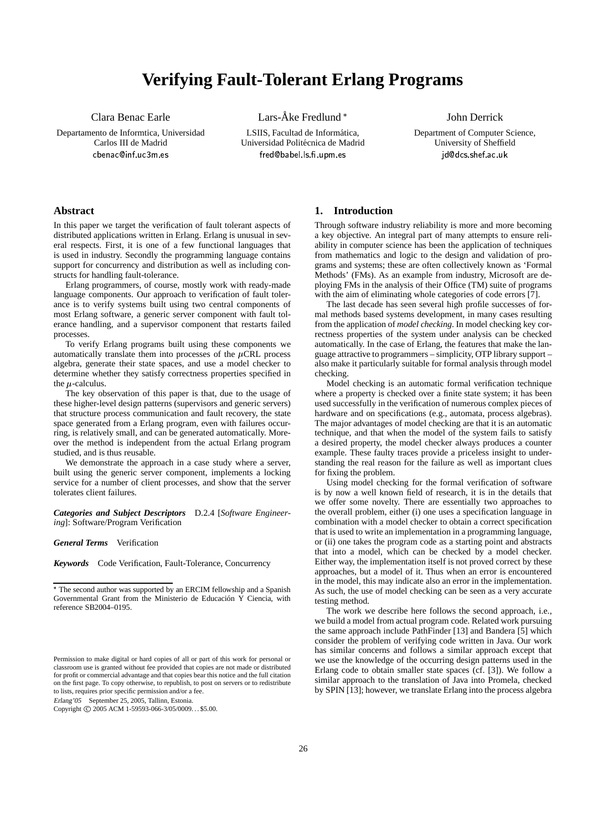# **Verifying Fault-Tolerant Erlang Programs**

Clara Benac Earle

Departamento de Informtica, Universidad Carlos III de Madrid --- 
 

Lars-Åke Fredlund\* LSIIS, Facultad de Informática, Universidad Politécnica de Madrid fred@babel.ls.fi.upm.es

John Derrick

Department of Computer Science, University of Sheffield  $\mathcal{A}$  . A decoded a set of  $\mathcal{A}$ 

## **Abstract**

In this paper we target the verification of fault tolerant aspects of distributed applications written in Erlang. Erlang is unusual in several respects. First, it is one of a few functional languages that is used in industry. Secondly the programming language contains support for concurrency and distribution as well as including constructs for handling fault-tolerance.

Erlang programmers, of course, mostly work with ready-made language components. Our approach to verification of fault tolerance is to verify systems built using two central components of most Erlang software, a generic server component with fault tolerance handling, and a supervisor component that restarts failed processes.

To verify Erlang programs built using these components we automatically translate them into processes of the  $\mu$ CRL process algebra, generate their state spaces, and use a model checker to determine whether they satisfy correctness properties specified in the  $\mu$ -calculus.

The key observation of this paper is that, due to the usage of these higher-level design patterns (supervisors and generic servers) that structure process communication and fault recovery, the state space generated from a Erlang program, even with failures occurring, is relatively small, and can be generated automatically. Moreover the method is independent from the actual Erlang program studied, and is thus reusable.

We demonstrate the approach in a case study where a server, built using the generic server component, implements a locking service for a number of client processes, and show that the server tolerates client failures.

*Categories and Subject Descriptors* D.2.4 [*Software Engineering*]: Software/Program Verification

*General Terms* Verification

*Keywords* Code Verification, Fault-Tolerance, Concurrency

Erlang'05 September 25, 2005, Tallinn, Estonia.

Copyright © 2005 ACM 1-59593-066-3/05/0009... \$5.00.

## **1. Introduction**

Through software industry reliability is more and more becoming a key objective. An integral part of many attempts to ensure reliability in computer science has been the application of techniques from mathematics and logic to the design and validation of programs and systems; these are often collectively known as 'Formal Methods' (FMs). As an example from industry, Microsoft are deploying FMs in the analysis of their Office (TM) suite of programs with the aim of eliminating whole categories of code errors [7].

The last decade has seen several high profile successes of formal methods based systems development, in many cases resulting from the application of *model checking*. In model checking key correctness properties of the system under analysis can be checked automatically. In the case of Erlang, the features that make the language attractive to programmers – simplicity, OTP library support – also make it particularly suitable for formal analysis through model checking.

Model checking is an automatic formal verification technique where a property is checked over a finite state system; it has been used successfully in the verification of numerous complex pieces of hardware and on specifications (e.g., automata, process algebras). The major advantages of model checking are that it is an automatic technique, and that when the model of the system fails to satisfy a desired property, the model checker always produces a counter example. These faulty traces provide a priceless insight to understanding the real reason for the failure as well as important clues for fixing the problem.

Using model checking for the formal verification of software is by now a well known field of research, it is in the details that we offer some novelty. There are essentially two approaches to the overall problem, either (i) one uses a specification language in combination with a model checker to obtain a correct specification that is used to write an implementation in a programming language, or (ii) one takes the program code as a starting point and abstracts that into a model, which can be checked by a model checker. Either way, the implementation itself is not proved correct by these approaches, but a model of it. Thus when an error is encountered in the model, this may indicate also an error in the implementation. As such, the use of model checking can be seen as a very accurate testing method.

The work we describe here follows the second approach, i.e., we build a model from actual program code. Related work pursuing the same approach include PathFinder [13] and Bandera [5] which consider the problem of verifying code written in Java. Our work has similar concerns and follows a similar approach except that we use the knowledge of the occurring design patterns used in the Erlang code to obtain smaller state spaces (cf. [3]). We follow a similar approach to the translation of Java into Promela, checked by SPIN [13]; however, we translate Erlang into the process algebra

<sup>,</sup> The second author was supported by an ERCIM fellowship and a Spanish Governmental Grant from the Ministerio de Educación Y Ciencia, with reference SB2004–0195.

Permission to make digital or hard copies of all or part of this work for personal or classroom use is granted without fee provided that copies are not made or distributed for profit or commercial advantage and that copies bear this notice and the full citation on the first page. To copy otherwise, to republish, to post on servers or to redistribute to lists, requires prior specific permission and/or a fee.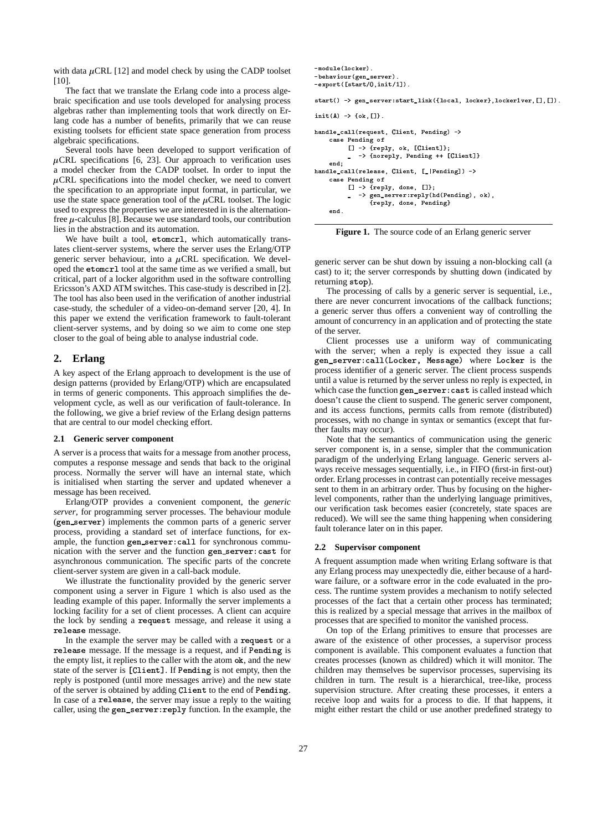with data  $\mu$ CRL [12] and model check by using the CADP toolset [10].

The fact that we translate the Erlang code into a process algebraic specification and use tools developed for analysing process algebras rather than implementing tools that work directly on Erlang code has a number of benefits, primarily that we can reuse existing toolsets for efficient state space generation from process algebraic specifications.

Several tools have been developed to support verification of  $\mu$ CRL specifications [6, 23]. Our approach to verification uses a model checker from the CADP toolset. In order to input the  $\mu$ CRL specifications into the model checker, we need to convert the specification to an appropriate input format, in particular, we use the state space generation tool of the  $\mu$ CRL toolset. The logic used to express the properties we are interested in is the alternationfree  $\mu$ -calculus [8]. Because we use standard tools, our contribution lies in the abstraction and its automation.

We have built a tool, etomcr1, which automatically translates client-server systems, where the server uses the Erlang/OTP generic server behaviour, into a  $\mu$ CRL specification. We developed the etomcr1 tool at the same time as we verified a small, but critical, part of a locker algorithm used in the software controlling Ericsson's AXD ATM switches. This case-study is described in [2]. The tool has also been used in the verification of another industrial case-study, the scheduler of a video-on-demand server [20, 4]. In this paper we extend the verification framework to fault-tolerant client-server systems, and by doing so we aim to come one step closer to the goal of being able to analyse industrial code.

# **2. Erlang**

A key aspect of the Erlang approach to development is the use of design patterns (provided by Erlang/OTP) which are encapsulated in terms of generic components. This approach simplifies the development cycle, as well as our verification of fault-tolerance. In the following, we give a brief review of the Erlang design patterns that are central to our model checking effort.

#### **2.1 Generic server component**

A server is a process that waits for a message from another process, computes a response message and sends that back to the original process. Normally the server will have an internal state, which is initialised when starting the server and updated whenever a message has been received.

Erlang/OTP provides a convenient component, the *generic server*, for programming server processes. The behaviour module (gen\_server) implements the common parts of a generic server process, providing a standard set of interface functions, for example, the function gen\_server: call for synchronous communication with the server and the function gen\_server: cast for asynchronous communication. The specific parts of the concrete client-server system are given in a call-back module.

We illustrate the functionality provided by the generic server component using a server in Figure 1 which is also used as the leading example of this paper. Informally the server implements a locking facility for a set of client processes. A client can acquire the lock by sending a request message, and release it using a release message.

In the example the server may be called with a request or a release message. If the message is a request, and if Pending is contained the message of  $\alpha$ the empty list, it replies to the caller with the atom ok, and the new state of the server is [Client]. If Pending is not empty, then the reply is postponed (until more messages arrive) and the new state of the server is obtained by adding Client to the end of Pending. In case of a release, the server may issue a reply to the waiting caller, using the gen\_server: reply function. In the example, the

```
-modelle(locker).-behaviour(gen_server).
-export([start/0, init/1]).
```
START I - 3 GMD SMRWMR START TIDKIN IOGAT TIDGERF TIDGERTVMR TI TIT

```
init(A) -> fok. [1].
```

```
1910 - 1911 - 1912 - 1913 - 1914 - 1925 - 1926 - 1937 - 1948 - 1949 - 1949 - 1949 - 1949 - 1949 - 1949 - 1949 - 1
     case Pending of
             HXO_(0Q_T*76/*F.a-
Lb+5LcHX\0.6?/<A0G0O6Vd
                -> {noreply, Pending ++ [Client]}
     end:
(3) 1971/10 1302/2004 12:3.50 1302/2014 1304/2015 1304/2016 1304/2017 1304/2017 1304
     case Pending of
             HXO_(0Q_T*76/*F.a-
Lj,6+<A/LcHWO0Vd
             Be(0QZ@0/<A
B0C/*73>/*7Sk76/*F.a-
1X;,-
1W^6/<A,6?"A6@8
L+*5D8L
                      raniv anna vanainar
     end.
```
**Figure 1.** The source code of an Erlang generic server

generic server can be shut down by issuing a non-blocking call (a cast) to it; the server corresponds by shutting down (indicated by returning stop).

The processing of calls by a generic server is sequential, i.e., there are never concurrent invocations of the callback functions; a generic server thus offers a convenient way of controlling the amount of concurrency in an application and of protecting the state of the server.

Client processes use a uniform way of communicating with the server; when a reply is expected they issue a call gen\_server:call(Locker, Message) where Locker is the process identifier of a generic server. The client process suspends until a value is returned by the server unless no reply is expected, in which case the function gen\_server: cast is called instead which doesn't cause the client to suspend. The generic server component, and its access functions, permits calls from remote (distributed) processes, with no change in syntax or semantics (except that further faults may occur).

Note that the semantics of communication using the generic server component is, in a sense, simpler that the communication paradigm of the underlying Erlang language. Generic servers always receive messages sequentially, i.e., in FIFO (first-in first-out) order. Erlang processes in contrast can potentially receive messages sent to them in an arbitrary order. Thus by focusing on the higherlevel components, rather than the underlying language primitives, our verification task becomes easier (concretely, state spaces are reduced). We will see the same thing happening when considering fault tolerance later on in this paper.

## **2.2 Supervisor component**

A frequent assumption made when writing Erlang software is that any Erlang process may unexpectedly die, either because of a hardware failure, or a software error in the code evaluated in the process. The runtime system provides a mechanism to notify selected processes of the fact that a certain other process has terminated; this is realized by a special message that arrives in the mailbox of processes that are specified to monitor the vanished process.

On top of the Erlang primitives to ensure that processes are aware of the existence of other processes, a supervisor process component is available. This component evaluates a function that creates processes (known as childred) which it will monitor. The children may themselves be supervisor processes, supervising its children in turn. The result is a hierarchical, tree-like, process supervision structure. After creating these processes, it enters a receive loop and waits for a process to die. If that happens, it might either restart the child or use another predefined strategy to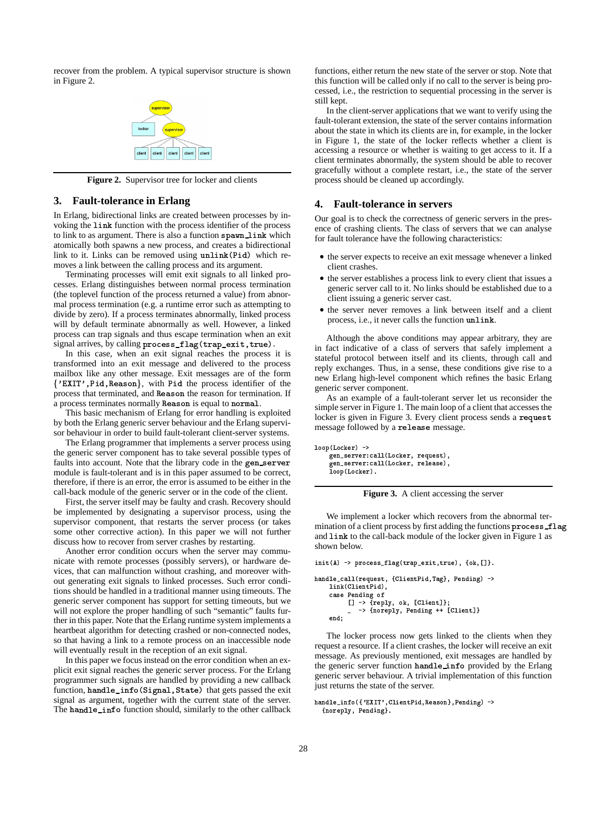recover from the problem. A typical supervisor structure is shown in Figure 2.



**Figure 2.** Supervisor tree for locker and clients

## **3. Fault-tolerance in Erlang**

In Erlang, bidirectional links are created between processes by invoking the link function with the process identifier of the process to link to as argument. There is also a function spawn\_link which atomically both spawns a new process, and creates a bidirectional link to it. Links can be removed using unlink (Pid) which removes a link between the calling process and its argument.

Terminating processes will emit exit signals to all linked processes. Erlang distinguishes between normal process termination (the toplevel function of the process returned a value) from abnormal process termination (e.g. a runtime error such as attempting to divide by zero). If a process terminates abnormally, linked process will by default terminate abnormally as well. However, a linked process can trap signals and thus escape termination when an exit signal arrives, by calling process\_flag(trap\_exit,true).

In this case, when an exit signal reaches the process it is transformed into an exit message and delivered to the process mailbox like any other message. Exit messages are of the form {'EXIT', Pid, Reason}, with Pid the process identifier of the process that terminated, and Reason the reason for termination. If a process terminates normally Reason is equal to normal.

This basic mechanism of Erlang for error handling is exploited by both the Erlang generic server behaviour and the Erlang supervisor behaviour in order to build fault-tolerant client-server systems.

The Erlang programmer that implements a server process using the generic server component has to take several possible types of faults into account. Note that the library code in the gen\_server module is fault-tolerant and is in this paper assumed to be correct, therefore, if there is an error, the error is assumed to be either in the call-back module of the generic server or in the code of the client.

First, the server itself may be faulty and crash. Recovery should be implemented by designating a supervisor process, using the supervisor component, that restarts the server process (or takes some other corrective action). In this paper we will not further discuss how to recover from server crashes by restarting.

Another error condition occurs when the server may communicate with remote processes (possibly servers), or hardware devices, that can malfunction without crashing, and moreover without generating exit signals to linked processes. Such error conditions should be handled in a traditional manner using timeouts. The generic server component has support for setting timeouts, but we will not explore the proper handling of such "semantic" faults further in this paper. Note that the Erlang runtime system implements a heartbeat algorithm for detecting crashed or non-connected nodes, so that having a link to a remote process on an inaccessible node will eventually result in the reception of an exit signal.

In this paper we focus instead on the error condition when an explicit exit signal reaches the generic server process. For the Erlang programmer such signals are handled by providing a new callback function, handle\_info (Signal, State) that gets passed the exit signal as argument, together with the current state of the server. The handle\_info function should, similarly to the other callback

functions, either return the new state of the server or stop. Note that this function will be called only if no call to the server is being processed, i.e., the restriction to sequential processing in the server is still kept.

In the client-server applications that we want to verify using the fault-tolerant extension, the state of the server contains information about the state in which its clients are in, for example, in the locker in Figure 1, the state of the locker reflects whether a client is accessing a resource or whether is waiting to get access to it. If a client terminates abnormally, the system should be able to recover gracefully without a complete restart, i.e., the state of the server process should be cleaned up accordingly.

## **4. Fault-tolerance in servers**

Our goal is to check the correctness of generic servers in the presence of crashing clients. The class of servers that we can analyse for fault tolerance have the following characteristics:

- <sup>6</sup> the server expects to receive an exit message whenever a linked client crashes.
- <sup>6</sup> the server establishes a process link to every client that issues a generic server call to it. No links should be established due to a client issuing a generic server cast.
- <sup>6</sup> the server never removes a link between itself and a client process, i.e., it never calls the function .

Although the above conditions may appear arbitrary, they are in fact indicative of a class of servers that safely implement a stateful protocol between itself and its clients, through call and reply exchanges. Thus, in a sense, these conditions give rise to a new Erlang high-level component which refines the basic Erlang generic server component.

As an example of a fault-tolerant server let us reconsider the simple server in Figure 1. The main loop of a client that accesses the locker is given in Figure 3. Every client process sends a request message followed by a release message.

 $\blacksquare$  . A  $\blacksquare$ 

gen\_server:call(Locker, request), gen\_server:call(Locker, release), = /- - \



We implement a locker which recovers from the abnormal termination of a client process by first adding the functions process\_flag and link to the call-back module of the locker given in Figure 1 as shown below.

```
\mathcal{P} \rightarrow \mathcal{P}handle_call(request, {ClientPid,Tag}, Pending) ->
   link(ClientPid),
   case Pending of
        [] -> \{reply, ok, [Client]\};-> {noreply, Pending ++ [Client]}
   end:
```
The locker process now gets linked to the clients when they request a resource. If a client crashes, the locker will receive an exit message. As previously mentioned, exit messages are handled by the generic server function handle\_info provided by the Erlang generic server behaviour. A trivial implementation of this function just returns the state of the server.

```
handle_info({'EXIT',ClientPid,Reason},Pending) ->
  {noreply, Pending}.
```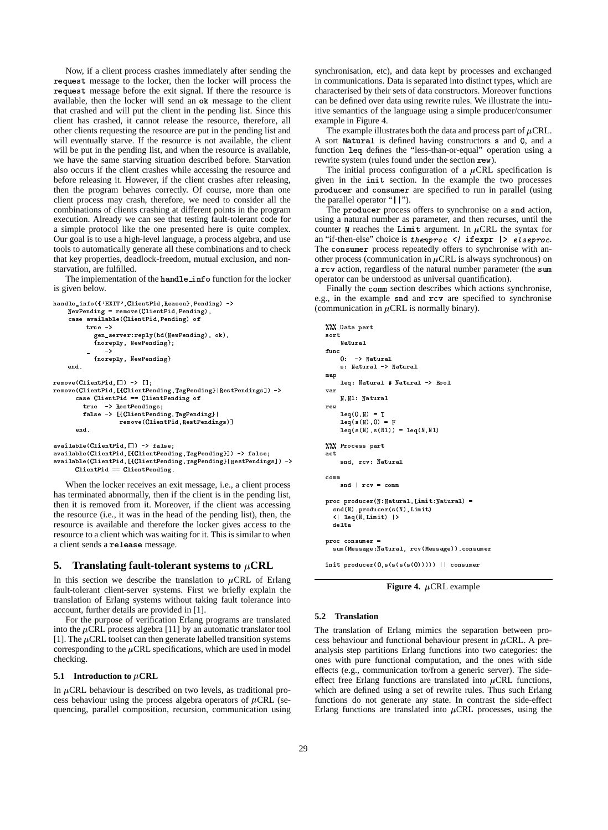Now, if a client process crashes immediately after sending the request message to the locker, then the locker will process the request message before the exit signal. If there the resource is available, then the locker will send an ok message to the client that crashed and will put the client in the pending list. Since this client has crashed, it cannot release the resource, therefore, all other clients requesting the resource are put in the pending list and will eventually starve. If the resource is not available, the client will be put in the pending list, and when the resource is available, we have the same starving situation described before. Starvation also occurs if the client crashes while accessing the resource and before releasing it. However, if the client crashes after releasing, then the program behaves correctly. Of course, more than one client process may crash, therefore, we need to consider all the combinations of clients crashing at different points in the program execution. Already we can see that testing fault-tolerant code for a simple protocol like the one presented here is quite complex. Our goal is to use a high-level language, a process algebra, and use tools to automatically generate all these combinations and to check that key properties, deadlock-freedom, mutual exclusion, and nonstarvation, are fulfilled.

The implementation of the handle\_info function for the locker is given below.

```
;=<A,0.3/3B0?<A0`6+12T
	
3LI\0.0?3/<A0G3^?,-
L6/3=6C+<AVLI^6/<A6,6?<A6@8b(3Q NewPending = remove(ClientPid Pending)
     4=0C/c=*>6=0?.0=<:.3/12\0.0?/<A6G3^?*,-
LI^6/<A6,6?<A6@8 +*`
          true \rightarrowean server:renly(hd(NevDending) ok)
              Inoranlw NawDandingle
           B (0Q
              fnorenly NewDendingl
    end.
76/<)
+*>6/1I\6.0?/<A0G0^?*,-
L6HWO8 (3Q HXOd
76/<)
+*>6/1I\6.0?/<A0G0^?*,-
L6HIT\0.0?/*A0G3^6/<A,6?"A6@-
L6=@^6/*A6,6?"A6@6Vh 6/0C*G3^6/<A0,6?<A6@6C*O8j(0Q
      case ClientPid == ClientPending of
          Frus - & Roct Condinact
          ISI0A - 3.141 ISANTUANATING ISANGNATING L
                      romavo II Ilontvia, koetvonainae II
      end.
=*>6=6?.3=<:.0/1I\0.0?3/<A0G3^?,-
L6HXO8 (3QZ`6=3.0C3/d
=*>6=6?.3=<:.0/1I\0.0?3/<A0G3^?,-
L6HWT\6.0?/<A0G0^6/<A6,6?<A6@-
L6=3@^6/<A6,?"A6@0VO
8b(3QP`6=0.0C/d
=*>6=6?.3=<:.0/1I\0.0?3/<A0G3^?,-
L6HWT\6.0?/<A0G0^6/<A6,6?<A6@-
L6=3@^6/<A6,?"A6@0Vh6/0C<G^6/*A6,6?"A6@C<O8b(3Q
      ClientPid == ClientPending.
```
When the locker receives an exit message, i.e., a client process has terminated abnormally, then if the client is in the pending list, then it is removed from it. Moreover, if the client was accessing the resource (i.e., it was in the head of the pending list), then, the resource is available and therefore the locker gives access to the resource to a client which was waiting for it. This is similar to when a client sends a release message.

## **5. Translating fault-tolerant systems to**  $\mu$ **CRL**

In this section we describe the translation to  $\mu$ CRL of Erlang fault-tolerant client-server systems. First we briefly explain the translation of Erlang systems without taking fault tolerance into account, further details are provided in [1].

For the purpose of verification Erlang programs are translated into the  $\mu$ CRL process algebra [11] by an automatic translator tool [1]. The  $\mu$ CRL toolset can then generate labelled transition systems corresponding to the  $\mu$ CRL specifications, which are used in model checking.

#### **5.1 Introduction to**  $\mu$ **CRL**

In  $\mu$ CRL behaviour is described on two levels, as traditional process behaviour using the process algebra operators of  $\mu$ CRL (sequencing, parallel composition, recursion, communication using

synchronisation, etc), and data kept by processes and exchanged in communications. Data is separated into distinct types, which are characterised by their sets of data constructors. Moreover functions can be defined over data using rewrite rules. We illustrate the intuitive semantics of the language using a simple producer/consumer example in Figure 4.

The example illustrates both the data and process part of  $\mu$ CRL. A sort Natural is defined having constructors s and 0, and a function leq defines the "less-than-or-equal" operation using a rewrite system (rules found under the section  $\text{rev}$ ).

The initial process configuration of a  $\mu$ CRL specification is given in the init section. In the example the two processes producer and consumer are specified to run in parallel (using the parallel operator " $| \cdot \rangle$ ").

The producer process offers to synchronise on a snd action, using a natural number as parameter, and then recurses, until the counter N reaches the Limit argument. In  $\mu$ CRL the syntax for an "if-then-else" choice is thenproc </ ifexpr |> elseproc. The consumer process repeatedly offers to synchronise with another process (communication in  $\mu$ CRL is always synchronous) on a rcv action, regardless of the natural number parameter (the sum operator can be understood as universal quantification).

Finally the comm section describes which actions synchronise, e.g., in the example snd and rcv are specified to synchronise (communication in  $\mu$ CRL is normally binary).

```
777 Data part
sort
    N=+n+3func
    \cap \longrightarrow Matural \capc - Natural - Natural -
mapleg - Natural # Natural -> Bool
var
    N N1 Natural
rew
    1e^{a(\theta - N)} = T1 \circ \alpha (c(N) \cap \Gamma1eq/c/N\ c/N1\\ = 1eq/N N1\
777 Drocacc part
act
    end rev Natural
c omm
   snd \mid rcv = commproc_producer(N·Natural Limit Natural) =
  end(N) producer(e(N) Limit)
  c | len(N Limit) |>
  deltaproc consumer =eum (Moeenge Natural Trav (Moeengo)) consumer
```
?"A
?<G\_F076+,4/\*712K-LMC 1MC1MC 1MC 12K838383808 h0h]4+<A
C<-3)/\*7

```
Figure 4. \muCRL example
```
#### **5.2 Translation**

The translation of Erlang mimics the separation between process behaviour and functional behaviour present in  $\mu$ CRL. A preanalysis step partitions Erlang functions into two categories: the ones with pure functional computation, and the ones with side effects (e.g., communication to/from a generic server). The sideeffect free Erlang functions are translated into  $\mu$ CRL functions, which are defined using a set of rewrite rules. Thus such Erlang functions do not generate any state. In contrast the side-effect Erlang functions are translated into  $\mu$ CRL processes, using the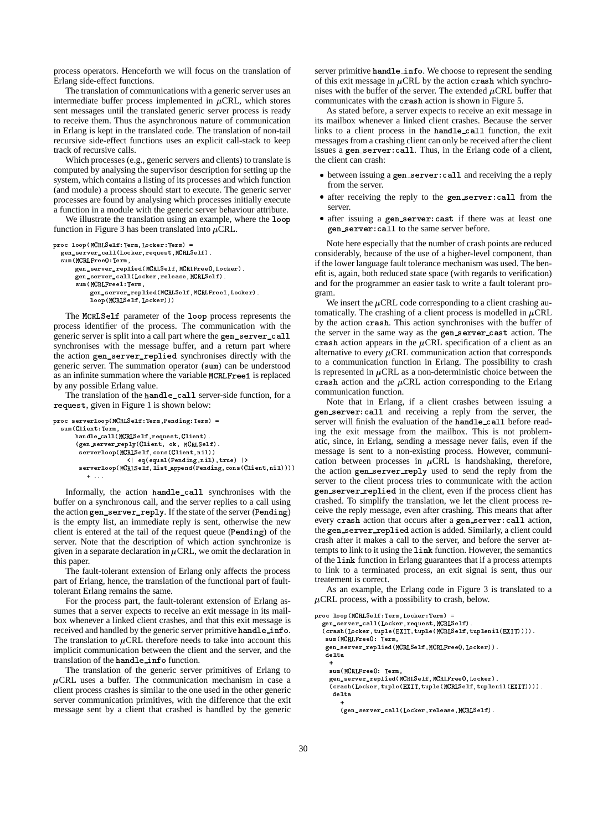process operators. Henceforth we will focus on the translation of Erlang side-effect functions.

The translation of communications with a generic server uses an intermediate buffer process implemented in  $\mu$ CRL, which stores sent messages until the translated generic server process is ready to receive them. Thus the asynchronous nature of communication in Erlang is kept in the translated code. The translation of non-tail recursive side-effect functions uses an explicit call-stack to keep track of recursive calls.

Which processes (e.g., generic servers and clients) to translate is computed by analysing the supervisor description for setting up the system, which contains a listing of its processes and which function (and module) a process should start to execute. The generic server processes are found by analysing which processes initially execute a function in a module with the generic server behaviour attribute.

We illustrate the translation using an example, where the loo function in Figure 3 has been translated into  $\mu$ CRL.

```
\frac{1}{2} \frac{1}{2} \frac{1}{2} \frac{1}{2} \frac{1}{2} \frac{1}{2} \frac{1}{2} \frac{1}{2} \frac{1}{2} \frac{1}{2} \frac{1}{2} \frac{1}{2} \frac{1}{2} \frac{1}{2} \frac{1}{2} \frac{1}{2} \frac{1}{2} \frac{1}{2} \frac{1}{2} \frac{1}{2} \frac{1}{2} \frac{1}{2} gan sarvar call(Locker request MCBICalf)
  sum(MCRLFree0:Term,gen server replied/MCBISelf MCBIEreeO Locker)
          gen server call(Locker release MCBISelf)
          c 11 m i w i w i co c i crm
                 gen server renlied(MCRISelf MCRIFree1 Locker)
                 1\text{con}(\text{MDI Calf Inclon})))
```
The MCRLSelf parameter of the loop process represents the process identifier of the process. The communication with the generic server is split into a call part where the gen\_server\_call  $\qquad$ synchronises with the message buffer, and a return part where the action gen\_server\_replied synchronises directly with the generic server. The summation operator (sum) can be understood as an infinite summation where the variable MCRLFree1 is replaced by any possible Erlang value.

The translation of the handle\_call server-side function, for a request, given in Figure 1 is shown below:

```
\mathbf{p}_\mathcal{A} correction (MCDI \mathbf{C}_\mathcal{A}) for \mathbf{p}_\mathcal{A} and \mathbf{p}_\mathcal{A} , \mathbf{T}_\mathcal{A} and \mathbf{p}_\mathcal{A} .
  sum(CClient:Termhandla call(MCBICalf raguest Cliant)
          (gen server renly(Client, ok, MCBICelf)
            eerverloon(MCBISelf cone(Client nil))
                                  لا (Landing nil) +rua) احداث
            eerwerloop(MCBICelf liet append(Dending cone(Client nil))))
               for the contract of the contract of the contract of the contract of the contract of the contract of the contract of
```
Informally, the action handle\_call synchronises with the buffer on a synchronous call, and the server replies to a call using the action gen\_server\_reply. If the state of the server (Pending) is the empty list, an immediate reply is sent, otherwise the new client is entered at the tail of the request queue (Pending) of the server. Note that the description of which action synchronize is given in a separate declaration in  $\mu$ CRL, we omit the declaration in this paper.

The fault-tolerant extension of Erlang only affects the process part of Erlang, hence, the translation of the functional part of faulttolerant Erlang remains the same.

For the process part, the fault-tolerant extension of Erlang assumes that a server expects to receive an exit message in its mailbox whenever a linked client crashes, and that this exit message is received and handled by the generic server primitive handle\_info. The translation to  $\mu$ CRL therefore needs to take into account this implicit communication between the client and the server, and the translation of the handle\_info function.

The translation of the generic server primitives of Erlang to  $\mu$ CRL uses a buffer. The communication mechanism in case a client process crashes is similar to the one used in the other generic server communication primitives, with the difference that the exit message sent by a client that crashed is handled by the generic

server primitive handle\_info. We choose to represent the sending of this exit message in  $\mu$ CRL by the action crash which synchronises with the buffer of the server. The extended  $\mu$ CRL buffer that communicates with the crash action is shown in Figure 5.

As stated before, a server expects to receive an exit message in its mailbox whenever a linked client crashes. Because the server links to a client process in the handle\_call function, the exit messages from a crashing client can only be received after the client issues a gen\_server: call. Thus, in the Erlang code of a client, the client can crash:

- $\bullet$  between issuing a gen\_server: call and receiving the a reply from the server.
- after receiving the reply to the gen server: call from the server.
- p after issuing a gen\_server: cast if there was at least one gen\_server: call to the same server before.

Note here especially that the number of crash points are reduced considerably, because of the use of a higher-level component, than if the lower language fault tolerance mechanism was used. The benefit is, again, both reduced state space (with regards to verification) and for the programmer an easier task to write a fault tolerant program.

We insert the  $\mu$ CRL code corresponding to a client crashing automatically. The crashing of a client process is modelled in  $\mu$ CRL by the action crash. This action synchronises with the buffer of the server in the same way as the gen\_server\_cast action. The crash action appears in the  $\mu$ CRL specification of a client as an alternative to every  $\mu$ CRL communication action that corresponds to a communication function in Erlang. The possibility to crash is represented in  $\mu$ CRL as a non-deterministic choice between the crash action and the  $\mu$ CRL action corresponding to the Erlang communication function.

Note that in Erlang, if a client crashes between issuing a gen\_server: call and receiving a reply from the server, the server will finish the evaluation of the handle\_call before reading the exit message from the mailbox. This is not problematic, since, in Erlang, sending a message never fails, even if the message is sent to a non-existing process. However, communication between processes in  $\mu$ CRL is handshaking, therefore, the action gen\_server\_reply used to send the reply from the server to the client process tries to communicate with the action gen\_server\_replied in the client, even if the process client has crashed. To simplify the translation, we let the client process receive the reply message, even after crashing. This means that after every crash action that occurs after a gen\_server: call action, the gen\_server\_replied action is added. Similarly, a client could crash after it makes a call to the server, and before the server attempts to link to it using the link function. However, the semantics of the link function in Erlang guarantees that if a process attempts to link to a terminated process, an exit signal is sent, thus our treatement is correct.

As an example, the Erlang code in Figure 3 is translated to a  $\mu$ CRL process, with a possibility to crash, below.

```
nroc loon(MCRICalf Tarm Locker Tarm) =
    gen server call(Locker request MCBICelf)
    \{r_{\alpha} \} (Increase tuple (FIIT tuple (MCDI Calf tuplen; 1 (FIIT))))
     sum(MCRLFree0: Term,
      ean sarvar ranliad/MCBISalf MCBIFraaN Lockar))
     \mathrm{\check{d}}elta
        for the contract of the contract of the contract of the contract of the contract of the contract of the contract of the contract of the contract of the contract of the contract of the contract of the contract of the contr
       sum(MCRLFree0: Term.
        gen server renlied(MCBICelf MCBIFreeO Locker)
        \{C_{\mathbf{r}}\} \{T\} \{T\} \{T\} \{T\} \{T\} \{T\} \{T\} \{T\} \{T\} \{T\} \{T\} \{T\} \{T\} \{T\}deltafor the contract of the contract of the contract of the contract of the contract of the contract of the contract of
```
(gen server call(Locker release MCBICelf)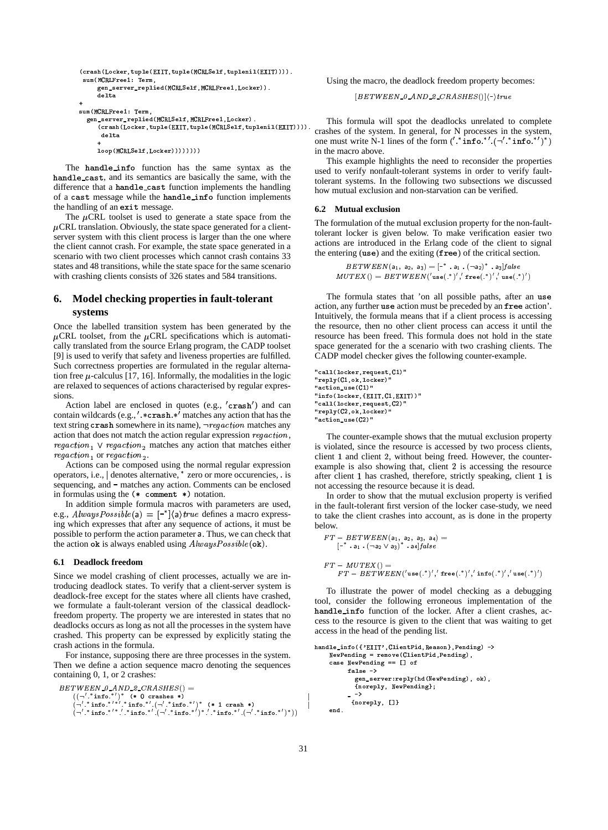```
(crsch(Iocker + un]e/FTT + un]e/MTRCa1f + unlandri(IFTT)))sum(MCRLFree1:Term.gen server renlied/MCRICelf MCRIFree1 Iocker))
         deltafor the contract of the contract of the contract of the contract of the contract of the contract of the contract of
sum (MCRLFree1: Term
    gen server renlied(MCBICelf MCBIFree1 Locker)
           (crash(I.orker\_tunle/FXIT\_tunle/MCRICe1f\_tunleni1/FXIT)))deltafor the contract of the contract of the contract of the contract of the contract of the contract of the contract of the contract of the contract of the contract of the contract of the contract of the contract of the contra
          1oon (MCBI Calf, Locker))))))))
```
The handle\_info function has the same syntax as the handle\_cast, and its semantics are basically the same, with the difference that a handle cast function implements the handling of a cast message while the handle\_info function implements the handling of an exit message.

The  $\mu$ CRL toolset is used to generate a state space from the  $\mu$ CRL translation. Obviously, the state space generated for a clientserver system with this client process is larger than the one where the client cannot crash. For example, the state space generated in a scenario with two client processes which cannot crash contains 33 states and 48 transitions, while the state space for the same scenario with crashing clients consists of 326 states and 584 transitions.

# **6. Model checking properties in fault-tolerant systems**

Once the labelled transition system has been generated by the  $\mu$ CRL toolset, from the  $\mu$ CRL specifications which is automatically translated from the source Erlang program, the CADP toolset [9] is used to verify that safety and liveness properties are fulfilled. Such correctness properties are formulated in the regular alternation free  $\mu$ -calculus [17, 16]. Informally, the modalities in the logic are relaxed to sequences of actions characterised by regular expressions.

Action label are enclosed in quotes (e.g., 'crash') and can contain wildcards (e.g.,  $'$  \* crash.\*' matches any action that has the text string crash somewhere in its name),  $\neg$ regaction matches any action that does not match the action regular expression *regaction*, regaction,  $\vee$  regaction, matches any action that matches either  ${\it regaction}_1$  or  ${\it regaction}_2.$ 

Actions can be composed using the normal regular expression operators, i.e., denotes alternative,  $*$  zero or more occurencies, is sequencing, and - matches any action. Comments can be enclosed in formulas using the  $(*$  comment  $*)$  notation.

In addition simple formula macros with parameters are used, e.g.,  $AlwaysPosible(a) = [-<sup>*</sup>](a)$  *true* defines a macro expressing which expresses that after any sequence of actions, it must be possible to perform the action parameter . Thus, we can check that the action ok is always enabled using  $AlwaysPosible(\circ k)$ .

## **6.1 Deadlock freedom**

Since we model crashing of client processes, actually we are introducing deadlock states. To verify that a client-server system is deadlock-free except for the states where all clients have crashed, we formulate a fault-tolerant version of the classical deadlockfreedom property. The property we are interested in states that no deadlocks occurs as long as not all the processes in the system have crashed. This property can be expressed by explicitly stating the crash actions in the formula.

For instance, supposing there are three processes in the system. Then we define a action sequence macro denoting the sequences containing 0, 1, or 2 crashes:

```
BETWEEN_0_AND_2_CRASHES() =
       ((¬'."info."')" (* 0 crashes *)<br>(¬'."info."'*'."info."')" (* 1 crash *)<br>(¬' "info."'*' "info."'(¬' "info."')" ' "info."'(¬' "info."'))
```
Using the macro, the deadlock freedom property becomes:

\_ ?@ABC@`@FE <sup>G</sup> HEJI <sup>K</sup> LDMNHO<PJ@FODQ^RWab (,ced/feg1h

This formula will spot the deadlocks unrelated to complete crashes of the system. In general, for N processes in the system, one must write N-1 lines of the form  $('$  \* info \*' $(-'$  \* info \*'')\*) in the macro above.

This example highlights the need to reconsider the properties used to verify nonfault-tolerant systems in order to verify faulttolerant systems. In the following two subsections we discussed how mutual exclusion and non-starvation can be verified.

## **6.2 Mutual exclusion**

The formulation of the mutual exclusion property for the non-faulttolerant locker is given below. To make verification easier two actions are introduced in the Erlang code of the client to signal the entering ( $use$ ) and the exiting ( $free$ ) of the critical section.

```
BETWEEN(\mathsf{a}_1,~\mathsf{a}_2,~\mathsf{a}_3) = [-* \boldsymbol{.} \mathsf{a}_1\boldsymbol{.}~(\neg \mathsf{a}_2)^* \boldsymbol{.} \mathsf{a}_3] falseMIITRY() = RF T W F F N('neg('")' 'frac(' */' 'neg(' *)')'
```
The formula states that 'on all possible paths, after an use action, any further use action must be preceded by an free action'. Intuitively, the formula means that if a client process is accessing the resource, then no other client process can access it until the resource has been freed. This formula does not hold in the state space generated for the a scenario with two crashing clients. The CADP model checker gives the following counter-example.

```
\muas 11/1\alphaakam megusat 71H = 701 \pm 7 also 3 \pm 2 \pm 3"action use(C1)\,""info(locker (FYIT (1 FYIT))"
\muas 11/1\muaksa, megusat, \mu0)\muz 76/<F.a1I\,{L2+5L2.3+04*56/*7
8 z
"setion usa/CO)"
```
The counter-example shows that the mutual exclusion property is violated, since the resource is accessed by two process clients, client 1 and client 2, without being freed. However, the counterexample is also showing that, client 2 is accessing the resource after client  $1$  has crashed, therefore, strictly speaking, client  $1$  is not accessing the resource because it is dead.

In order to show that the mutual exclusion property is verified in the fault-tolerant first version of the locker case-study, we need to take the client crashes into account, as is done in the property below.

$$
FT-BETWEEN(a1, a2, a3, a4) =
$$
  
\n
$$
[-^{*} \cdot a1 \cdot (-a2 \vee a3)^{*} \cdot a4] false
$$
  
\n
$$
FT-MUTEX()
$$
  
\n
$$
FT-RETWEEN('neg('*)'/\text{free}(*)'/\text{info}(*)'/\text{vse}(*)')
$$

To illustrate the power of model checking as a debugging tool, consider the following erroneous implementation of the handle\_info function of the locker. After a client crashes, access to the resource is given to the client that was waiting to get access in the head of the pending list.

```
;
=<A6,0.3/0B0?"A0`6+-
12T 	-
3LI\6.0?/<A0G0^?*,-
L/3=0C+<A
VLW^6/<A,6?"A6@8 (3Q NewDending = remove(ClientDid Dending)
    case NewDending == [] of
        false ->
           ean sarwar:ranlw(hd(NawDanding) ok)
           fnoranlw NawDandingle
         \rightarrow\blacksquareend.
```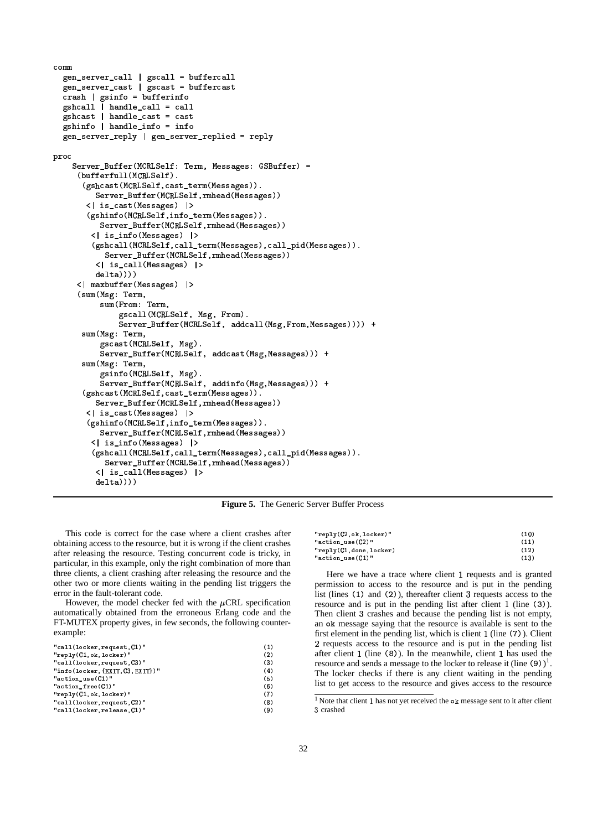```
gen_server_call | gscall = burrercall = monomers = 0.000 = 0.000 = 0.000 = 0.000 = 0.000 = 0.000 = 0.000 = 0.000 = 0.000 = 0.000 = 0.000 = 0.000 = 0.000 = 0.000 = 0.000 = 0.000 = 0.000 = 0.000 = 0.000 = 0.000 = 0.000 = 0.0
  gen_server_cast | gscast = buffercast
   crash | gsinfo = bufferinfo
  gshcall | handle_call = call
                                    and the contract of the contract of the contract of the contract of the contract of the contract of the contract of the contract of the contract of the contract of the contract of the contract of the contract of the contra
  gshcast | handle_cast = cast
  gshinfo | handle_info = info
  gen_server_reply | gen_server_replied = reply
proc
     <code>Server Buiier</code>(MCRLSeli: lerm, Messages: GSBuiier) =
       (buiteriull(MCKLSeli).
        (gshcast(MCRLSelf,cast_term(Messages)).
           Server Buffer(MCRLSelf.rmhead(Messages))
         <| is_cast(Messages) |>
         (gshinfo(MCRLSelf,info_term(Messages)).
             Server Buffer(MCRLSelf.rmhead(Messages))
          <| is_info(Messages) |>
          (gshcall(MCRLSelf,call_term(Messages),call_pid(Messages)).
              Server Buffer(MCRLSelf.rmhead(Messages))
           <| is_call(Messages) |>
           s-
sss
      <| maxbuffer(Messages) |>
       (sum(Msg: Term,
             ann an Ilian anns a' Bann anns an Dùbhlachd an Dùbhlachd an Dùbhlachd an Dùbhlachd an Dùbhlachd an Dùbhlachd a
                  gscall(MCRLSelf, Msg, From).
                  <code>Server_Buffer(MCRLSelf, addcall(Msg,From,Messages)))) +</code>
        sum(Msg: lerm,
            gscast(MCKLSelf, Msg).
             <code>Server_Burrer(MCRLSelf, addcast(Msg,Messages))) +</code>
        sum(Msg: Term,
            gsinfo(MCKLSelf, MSg).
             <code>Server_Butter(MCRLSelt, addinto(Msg,Messages))) +</code>
        (gshcast(MCRLSelf,cast_term(Messages)).
           Server Buffer(MCRLSelf.rmhead(Messages))
         <| is_cast(Messages) |>
         (gshinfo(MCRLSelf,info_term(Messages)).
             Server Buffer(MCRLSelf.rmhead(Messages))
          <| is_info(Messages) |>
          (gshcall(MCRLSelf,call_term(Messages),call_pid(Messages)).
              Server Buffer(MCRLSelf.rmhead(Messages))

 -
$ m"q-

s 10
           s-
sss
```
--

the contract of the contract of the contract of the contract of the contract of the contract of the contract of

**Figure 5.** The Generic Server Buffer Process

This code is correct for the case where a client crashes after obtaining access to the resource, but it is wrong if the client crashes after releasing the resource. Testing concurrent code is tricky, in particular, in this example, only the right combination of more than three clients, a client crashing after releasing the resource and the other two or more clients waiting in the pending list triggers the error in the fault-tolerant code.

However, the model checker fed with the  $\mu$ CRL specification automatically obtained from the erroneous Erlang code and the FT-MUTEX property gives, in few seconds, the following counterexample:

| "call(locker, request, C1)"      | (1) |
|----------------------------------|-----|
| "reply(C1, ok, locker)"          | (2) |
| "call(locker, request, C3)"      | (3) |
| "info(locker, {EXIT, C3, EXIT})" | (4) |
| "action use(C1)"                 | (5) |
| "action_free(C1)"                | (6) |
| "reply(C1, ok, locker)"          | (7) |
| "call(locker, request, C2)"      | (8) |
| "call(locker, release, C1)"      | (9) |

| "reply(C2,ok,locker)"  | (10) |
|------------------------|------|
| "action use(C2)"       | (11) |
| "reply(C1,done,locker) | (12) |
| "action use(C1)"       | (13) |
|                        |      |

Here we have a trace where client 1 requests and is granted permission to access to the resource and is put in the pending list (lines  $(1)$  and  $(2)$ ), thereafter client 3 requests access to the resource and is put in the pending list after client  $1$  (line  $(3)$ ). Then client 3 crashes and because the pending list is not empty, an ok message saying that the resource is available is sent to the first element in the pending list, which is client  $1$  (line  $(7)$ ). Client } requests access to the resource and is put in the pending list after client 1 (line  $(8)$ ). In the meanwhile, client 1 has used the resource and sends a message to the locker to release it (line  $(9)$ )<sup>1</sup>. The locker checks if there is any client waiting in the pending list to get access to the resource and gives access to the resource

 $1$  Note that client 1 has not yet received the  $\circ \mathbf{k}$  message sent to it after client . crashed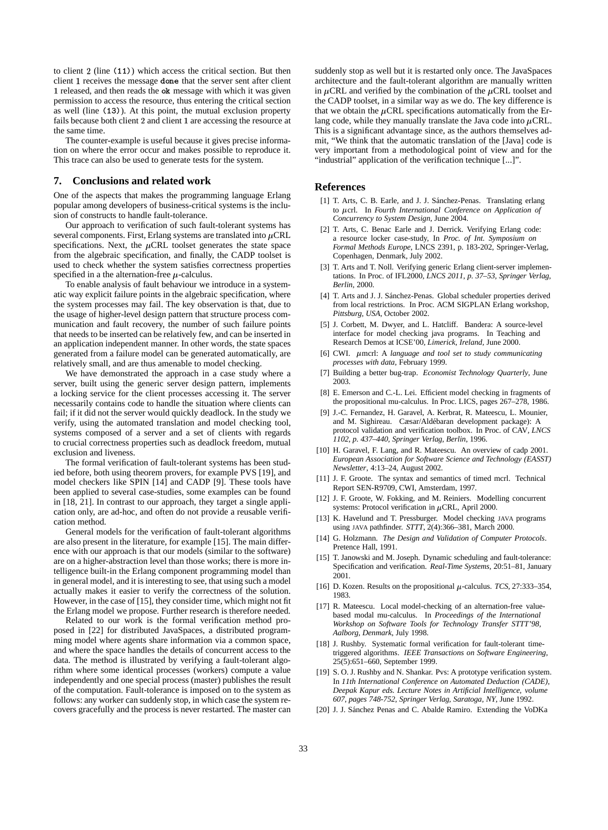to client  $2$  (line  $(11)$ ) which access the critical section. But then client 1 receives the message done that the server sent after client 1 released, and then reads the ok message with which it was given permission to access the resource, thus entering the critical section as well (line  $(13)$ ). At this point, the mutual exclusion property fails because both client 2 and client 1 are accessing the resource at the same time.

The counter-example is useful because it gives precise information on where the error occur and makes possible to reproduce it. This trace can also be used to generate tests for the system.

## **7. Conclusions and related work**

One of the aspects that makes the programming language Erlang popular among developers of business-critical systems is the inclusion of constructs to handle fault-tolerance.

Our approach to verification of such fault-tolerant systems has several components. First, Erlang systems are translated into  $\mu$ CRL specifications. Next, the  $\mu$ CRL toolset generates the state space from the algebraic specification, and finally, the CADP toolset is used to check whether the system satisfies correctness properties specified in a the alternation-free  $\mu$ -calculus.

To enable analysis of fault behaviour we introduce in a systematic way explicit failure points in the algebraic specification, where the system processes may fail. The key observation is that, due to the usage of higher-level design pattern that structure process communication and fault recovery, the number of such failure points that needs to be inserted can be relatively few, and can be inserted in an application independent manner. In other words, the state spaces generated from a failure model can be generated automatically, are relatively small, and are thus amenable to model checking.

We have demonstrated the approach in a case study where a server, built using the generic server design pattern, implements a locking service for the client processes accessing it. The server necessarily contains code to handle the situation where clients can fail; if it did not the server would quickly deadlock. In the study we verify, using the automated translation and model checking tool, systems composed of a server and a set of clients with regards to crucial correctness properties such as deadlock freedom, mutual exclusion and liveness.

The formal verification of fault-tolerant systems has been studied before, both using theorem provers, for example PVS [19], and model checkers like SPIN [14] and CADP [9]. These tools have been applied to several case-studies, some examples can be found in [18, 21]. In contrast to our approach, they target a single application only, are ad-hoc, and often do not provide a reusable verification method.

General models for the verification of fault-tolerant algorithms are also present in the literature, for example [15]. The main difference with our approach is that our models (similar to the software) are on a higher-abstraction level than those works; there is more intelligence built-in the Erlang component programming model than in general model, and it is interesting to see, that using such a model actually makes it easier to verify the correctness of the solution. However, in the case of [15], they consider time, which might not fit the Erlang model we propose. Further research is therefore needed.

Related to our work is the formal verification method proposed in [22] for distributed JavaSpaces, a distributed programming model where agents share information via a common space, and where the space handles the details of concurrent access to the data. The method is illustrated by verifying a fault-tolerant algorithm where some identical processes (workers) compute a value independently and one special process (master) publishes the result of the computation. Fault-tolerance is imposed on to the system as follows: any worker can suddenly stop, in which case the system recovers gracefully and the process is never restarted. The master can suddenly stop as well but it is restarted only once. The JavaSpaces architecture and the fault-tolerant algorithm are manually written in  $\mu$ CRL and verified by the combination of the  $\mu$ CRL toolset and the CADP toolset, in a similar way as we do. The key difference is that we obtain the  $\mu$ CRL specifications automatically from the Erlang code, while they manually translate the Java code into  $\mu$ CRL. This is a significant advantage since, as the authors themselves admit, "We think that the automatic translation of the [Java] code is very important from a methodological point of view and for the "industrial" application of the verification technique [...]".

#### **References**

- [1] T. Arts, C. B. Earle, and J. J. Sánchez-Penas. Translating erlang to crl. In *Fourth International Conference on Application of Concurrency to System Design*, June 2004.
- [2] T. Arts, C. Benac Earle and J. Derrick. Verifying Erlang code: a resource locker case-study, In *Proc. of Int. Symposium on Formal Methods Europe*, LNCS 2391, p. 183-202, Springer-Verlag, Copenhagen, Denmark, July 2002.
- [3] T. Arts and T. Noll. Verifying generic Erlang client-server implementations. In Proc. of IFL2000*, LNCS 2011, p. 37–53, Springer Verlag, Berlin*, 2000.
- [4] T. Arts and J. J. Sánchez-Penas. Global scheduler properties derived from local restrictions. In Proc. ACM SIGPLAN Erlang workshop*, Pittsburg, USA*, October 2002.
- [5] J. Corbett, M. Dwyer, and L. Hatcliff. Bandera: A source-level interface for model checking java programs. In Teaching and Research Demos at ICSE'00*, Limerick, Ireland*, June 2000.
- [6] CWI. mcrl: A *language and tool set to study communicating processes with data*, February 1999.
- [7] Building a better bug-trap. *Economist Technology Quarterly*, June 2003.
- [8] E. Emerson and C.-L. Lei. Efficient model checking in fragments of the propositional mu-calculus. In Proc. LICS, pages 267–278, 1986.
- [9] J.-C. Fernandez, H. Garavel, A. Kerbrat, R. Mateescu, L. Mounier, and M. Sighireau. Cæsar/Aldébaran development package): A protocol validation and verification toolbox. In Proc. of CAV*, LNCS 1102, p. 437–440, Springer Verlag, Berlin*, 1996.
- [10] H. Garavel, F. Lang, and R. Mateescu. An overview of cadp 2001. *European Association for Software Science and Technology (EASST) Newsletter*, 4:13–24, August 2002.
- [11] J. F. Groote. The syntax and semantics of timed mcrl. Technical Report SEN-R9709, CWI, Amsterdam, 1997.
- [12] J. F. Groote, W. Fokking, and M. Reiniers. Modelling concurrent systems: Protocol verification in  $\mu$ CRL, April 2000.
- [13] K. Havelund and T. Pressburger. Model checking JAVA programs using JAVA pathfinder. *STTT*, 2(4):366–381, March 2000.
- [14] G. Holzmann. *The Design and Validation of Computer Protocols*. Pretence Hall, 1991.
- [15] T. Janowski and M. Joseph. Dynamic scheduling and fault-tolerance: Specification and verification. *Real-Time Systems*, 20:51–81, January 2001.
- [16] D. Kozen. Results on the propositional  $\mu$ -calculus. *TCS*, 27:333–354, 1983.
- [17] R. Mateescu. Local model-checking of an alternation-free valuebased modal mu-calculus. In *Proceedings of the International Workshop on Software Tools for Technology Transfer STTT'98, Aalborg, Denmark*, July 1998.
- [18] J. Rushby. Systematic formal verification for fault-tolerant timetriggered algorithms. *IEEE Transactions on Software Engineering*, 25(5):651–660, September 1999.
- [19] S. O. J. Rushby and N. Shankar. Pvs: A prototype verification system. In *11th International Conference on Automated Deduction (CADE), Deepak Kapur eds. Lecture Notes in Artificial Intelligence, volume 607, pages 748-752, Springer Verlag, Saratoga, NY*, June 1992.
- [20] J. J. Sánchez Penas and C. Abalde Ramiro. Extending the VoDKa